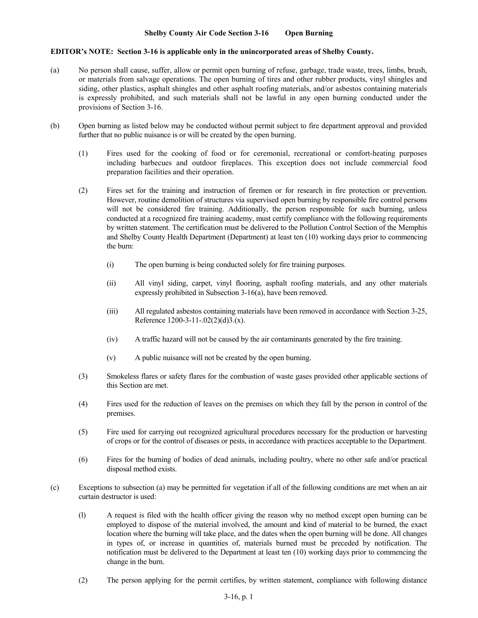## **Shelby County Air Code Section 3-16 Open Burning**

## **EDITOR's NOTE: Section 3-16 is applicable only in the unincorporated areas of Shelby County.**

- (a) No person shall cause, suffer, allow or permit open burning of refuse, garbage, trade waste, trees, limbs, brush, or materials from salvage operations. The open burning of tires and other rubber products, vinyl shingles and siding, other plastics, asphalt shingles and other asphalt roofing materials, and/or asbestos containing materials is expressly prohibited, and such materials shall not be lawful in any open burning conducted under the provisions of Section 3-16.
- (b) Open burning as listed below may be conducted without permit subject to fire department approval and provided further that no public nuisance is or will be created by the open burning.
	- (1) Fires used for the cooking of food or for ceremonial, recreational or comfort-heating purposes including barbecues and outdoor fireplaces. This exception does not include commercial food preparation facilities and their operation.
	- (2) Fires set for the training and instruction of firemen or for research in fire protection or prevention. However, routine demolition of structures via supervised open burning by responsible fire control persons will not be considered fire training. Additionally, the person responsible for such burning, unless conducted at a recognized fire training academy, must certify compliance with the following requirements by written statement. The certification must be delivered to the Pollution Control Section of the Memphis and Shelby County Health Department (Department) at least ten (10) working days prior to commencing the burn:
		- (i) The open burning is being conducted solely for fire training purposes.
		- (ii) All vinyl siding, carpet, vinyl flooring, asphalt roofing materials, and any other materials expressly prohibited in Subsection 3-16(a), have been removed.
		- (iii) All regulated asbestos containing materials have been removed in accordance with Section 3-25, Reference 1200-3-11-.02(2)(d)3.(x).
		- (iv) A traffic hazard will not be caused by the air contaminants generated by the fire training.
		- (v) A public nuisance will not be created by the open burning.
	- (3) Smokeless flares or safety flares for the combustion of waste gases provided other applicable sections of this Section are met.
	- (4) Fires used for the reduction of leaves on the premises on which they fall by the person in control of the premises.
	- (5) Fire used for carrying out recognized agricultural procedures necessary for the production or harvesting of crops or for the control of diseases or pests, in accordance with practices acceptable to the Department.
	- (6) Fires for the burning of bodies of dead animals, including poultry, where no other safe and/or practical disposal method exists.
- (c) Exceptions to subsection (a) may be permitted for vegetation if all of the following conditions are met when an air curtain destructor is used:
	- (l) A request is filed with the health officer giving the reason why no method except open burning can be employed to dispose of the material involved, the amount and kind of material to be burned, the exact location where the burning will take place, and the dates when the open burning will be done. All changes in types of, or increase in quantities of, materials burned must be preceded by notification. The notification must be delivered to the Department at least ten (10) working days prior to commencing the change in the burn.
	- (2) The person applying for the permit certifies, by written statement, compliance with following distance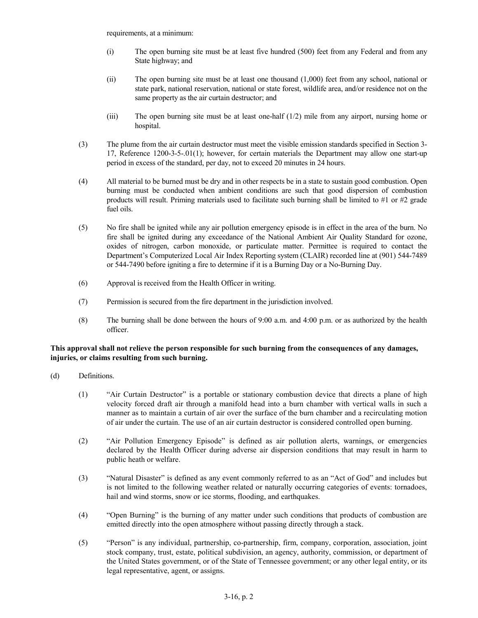requirements, at a minimum:

- (i) The open burning site must be at least five hundred (500) feet from any Federal and from any State highway; and
- (ii) The open burning site must be at least one thousand (1,000) feet from any school, national or state park, national reservation, national or state forest, wildlife area, and/or residence not on the same property as the air curtain destructor; and
- (iii) The open burning site must be at least one-half (1/2) mile from any airport, nursing home or hospital.
- (3) The plume from the air curtain destructor must meet the visible emission standards specified in Section 3- 17, Reference 1200-3-5-.01(1); however, for certain materials the Department may allow one start-up period in excess of the standard, per day, not to exceed 20 minutes in 24 hours.
- (4) All material to be burned must be dry and in other respects be in a state to sustain good combustion. Open burning must be conducted when ambient conditions are such that good dispersion of combustion products will result. Priming materials used to facilitate such burning shall be limited to #1 or #2 grade fuel oils.
- (5) No fire shall be ignited while any air pollution emergency episode is in effect in the area of the burn. No fire shall be ignited during any exceedance of the National Ambient Air Quality Standard for ozone, oxides of nitrogen, carbon monoxide, or particulate matter. Permittee is required to contact the Department's Computerized Local Air Index Reporting system (CLAIR) recorded line at (901) 544-7489 or 544-7490 before igniting a fire to determine if it is a Burning Day or a No-Burning Day.
- (6) Approval is received from the Health Officer in writing.
- (7) Permission is secured from the fire department in the jurisdiction involved.
- (8) The burning shall be done between the hours of 9:00 a.m. and 4:00 p.m. or as authorized by the health officer.

## **This approval shall not relieve the person responsible for such burning from the consequences of any damages, injuries, or claims resulting from such burning.**

- (d) Definitions.
	- (1) "Air Curtain Destructor" is a portable or stationary combustion device that directs a plane of high velocity forced draft air through a manifold head into a burn chamber with vertical walls in such a manner as to maintain a curtain of air over the surface of the burn chamber and a recirculating motion of air under the curtain. The use of an air curtain destructor is considered controlled open burning.
	- (2) "Air Pollution Emergency Episode" is defined as air pollution alerts, warnings, or emergencies declared by the Health Officer during adverse air dispersion conditions that may result in harm to public heath or welfare.
	- (3) "Natural Disaster" is defined as any event commonly referred to as an "Act of God" and includes but is not limited to the following weather related or naturally occurring categories of events: tornadoes, hail and wind storms, snow or ice storms, flooding, and earthquakes.
	- (4) "Open Burning" is the burning of any matter under such conditions that products of combustion are emitted directly into the open atmosphere without passing directly through a stack.
	- (5) "Person" is any individual, partnership, co-partnership, firm, company, corporation, association, joint stock company, trust, estate, political subdivision, an agency, authority, commission, or department of the United States government, or of the State of Tennessee government; or any other legal entity, or its legal representative, agent, or assigns.